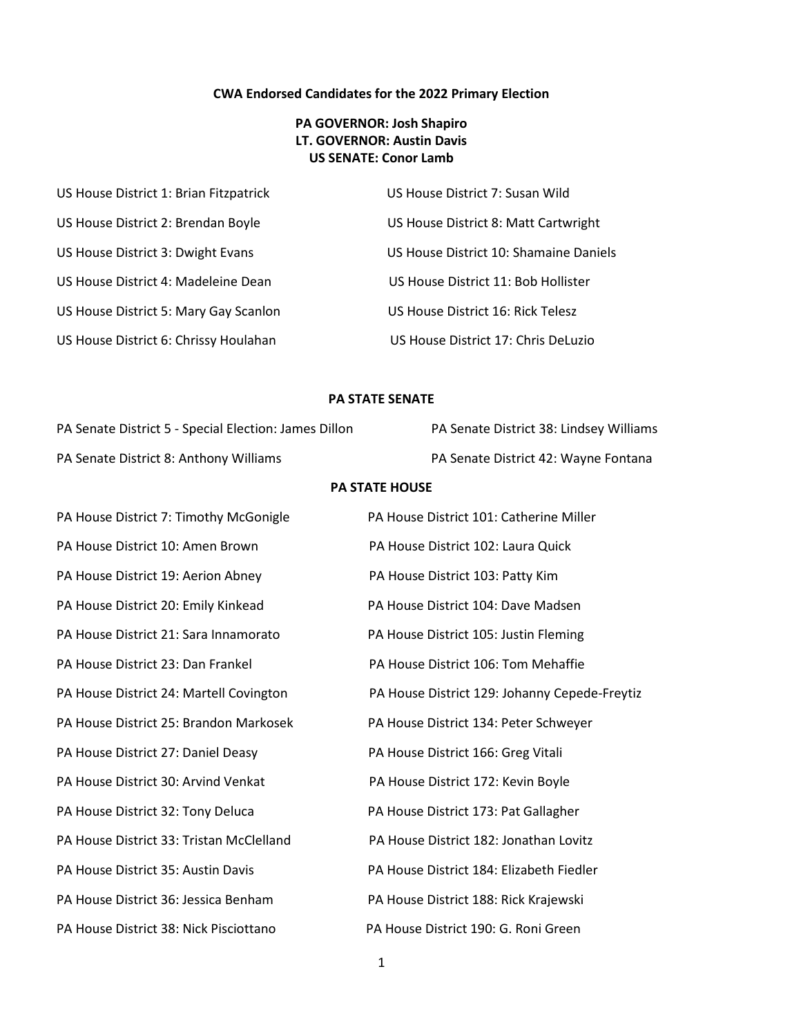## **CWA Endorsed Candidates for the 2022 Primary Election**

## **PA GOVERNOR: Josh Shapiro LT. GOVERNOR: Austin Davis US SENATE: Conor Lamb**

| US House District 1: Brian Fitzpatrick | US House District 7: Susan Wild        |
|----------------------------------------|----------------------------------------|
| US House District 2: Brendan Boyle     | US House District 8: Matt Cartwright   |
| US House District 3: Dwight Evans      | US House District 10: Shamaine Daniels |
| US House District 4: Madeleine Dean    | US House District 11: Bob Hollister    |
| US House District 5: Mary Gay Scanlon  | US House District 16: Rick Telesz      |
| US House District 6: Chrissy Houlahan  | US House District 17: Chris DeLuzio    |

## **PA STATE SENATE**

| PA Senate District 38: Lindsey Williams |  |  |
|-----------------------------------------|--|--|
| PA Senate District 42: Wayne Fontana    |  |  |
| <b>PA STATE HOUSE</b>                   |  |  |
| PA House District 101: Catherine Miller |  |  |
| PA House District 102: Laura Quick      |  |  |
|                                         |  |  |

PA House District 19: Aerion Abney PA House District 103: Patty Kim PA House District 20: Emily Kinkead PA House District 104: Dave Madsen PA House District 21: Sara Innamorato PA House District 105: Justin Fleming PA House District 23: Dan Frankel PA House District 106: Tom Mehaffie PA House District 25: Brandon Markosek PA House District 134: Peter Schweyer PA House District 27: Daniel Deasy PA House District 166: Greg Vitali PA House District 30: Arvind Venkat PA House District 172: Kevin Boyle PA House District 32: Tony Deluca PA House District 173: Pat Gallagher PA House District 33: Tristan McClelland PA House District 182: Jonathan Lovitz PA House District 35: Austin Davis PA House District 184: Elizabeth Fiedler PA House District 36: Jessica Benham PA House District 188: Rick Krajewski PA House District 38: Nick Pisciottano PA House District 190: G. Roni Green

PA House District 24: Martell Covington PA House District 129: Johanny Cepede-Freytiz